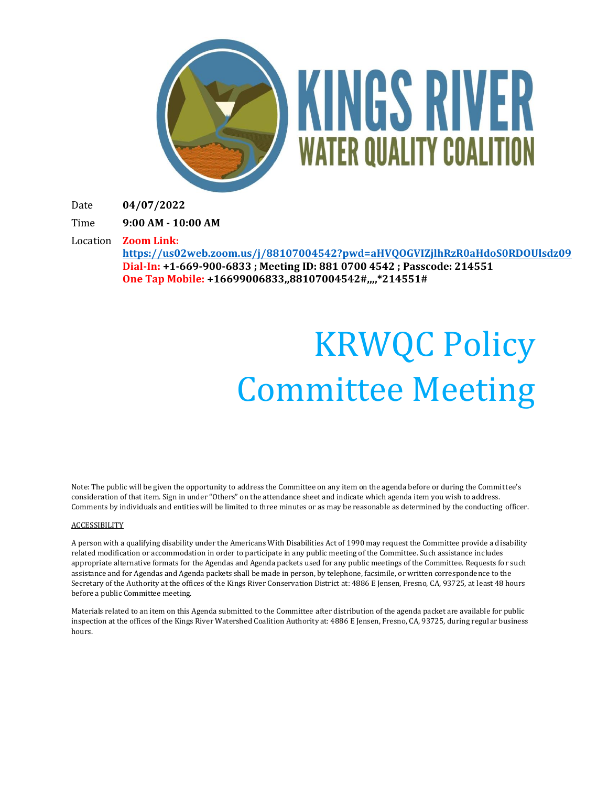

Date **04/07/2022**

Time **9:00 AM - 10:00 AM**

Location **Zoom Link:**

**<https://us02web.zoom.us/j/88107004542?pwd=aHVQOGVIZjlhRzR0aHdoS0RDOUlsdz09> Dial-In: +1-669-900-6833 ; Meeting ID: 881 0700 4542 ; Passcode: 214551 One Tap Mobile: +16699006833,,88107004542#,,,,\*214551#**

# KRWQC Policy Committee Meeting

Note: The public will be given the opportunity to address the Committee on any item on the agenda before or during the Committee's consideration of that item. Sign in under "Others" on the attendance sheet and indicate which agenda item you wish to address. Comments by individuals and entities will be limited to three minutes or as may be reasonable as determined by the conducting officer.

#### **ACCESSIBILITY**

A person with a qualifying disability under the Americans With Disabilities Act of 1990 may request the Committee provide a disability related modification or accommodation in order to participate in any public meeting of the Committee. Such assistance includes appropriate alternative formats for the Agendas and Agenda packets used for any public meetings of the Committee. Requests for such assistance and for Agendas and Agenda packets shall be made in person, by telephone, facsimile, or written correspondence to the Secretary of the Authority at the offices of the Kings River Conservation District at: 4886 E Jensen, Fresno, CA, 93725, at least 48 hours before a public Committee meeting.

Materials related to an item on this Agenda submitted to the Committee after distribution of the agenda packet are available for public inspection at the offices of the Kings River Watershed Coalition Authority at: 4886 E Jensen, Fresno, CA, 93725, during regular business hours.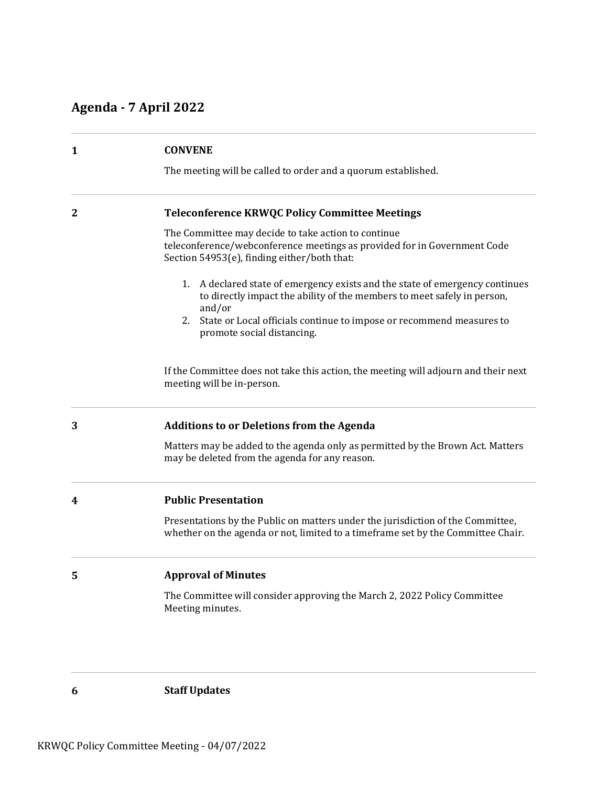# **Agenda - 7 April 2022**

| 1            | <b>CONVENE</b>                                                                                                                                                                 |
|--------------|--------------------------------------------------------------------------------------------------------------------------------------------------------------------------------|
|              | The meeting will be called to order and a quorum established.                                                                                                                  |
| $\mathbf{2}$ | <b>Teleconference KRWQC Policy Committee Meetings</b>                                                                                                                          |
|              | The Committee may decide to take action to continue<br>teleconference/webconference meetings as provided for in Government Code<br>Section 54953(e), finding either/both that: |
|              | 1. A declared state of emergency exists and the state of emergency continues<br>to directly impact the ability of the members to meet safely in person,<br>and/or              |
|              | State or Local officials continue to impose or recommend measures to<br>2.<br>promote social distancing.                                                                       |
|              | If the Committee does not take this action, the meeting will adjourn and their next<br>meeting will be in-person.                                                              |
| 3            | <b>Additions to or Deletions from the Agenda</b>                                                                                                                               |
|              | Matters may be added to the agenda only as permitted by the Brown Act. Matters<br>may be deleted from the agenda for any reason.                                               |
| 4            | <b>Public Presentation</b>                                                                                                                                                     |
|              | Presentations by the Public on matters under the jurisdiction of the Committee,<br>whether on the agenda or not, limited to a timeframe set by the Committee Chair.            |
| 5            | <b>Approval of Minutes</b>                                                                                                                                                     |
|              | The Committee will consider approving the March 2, 2022 Policy Committee<br>Meeting minutes.                                                                                   |
|              |                                                                                                                                                                                |

**6 Staff Updates**